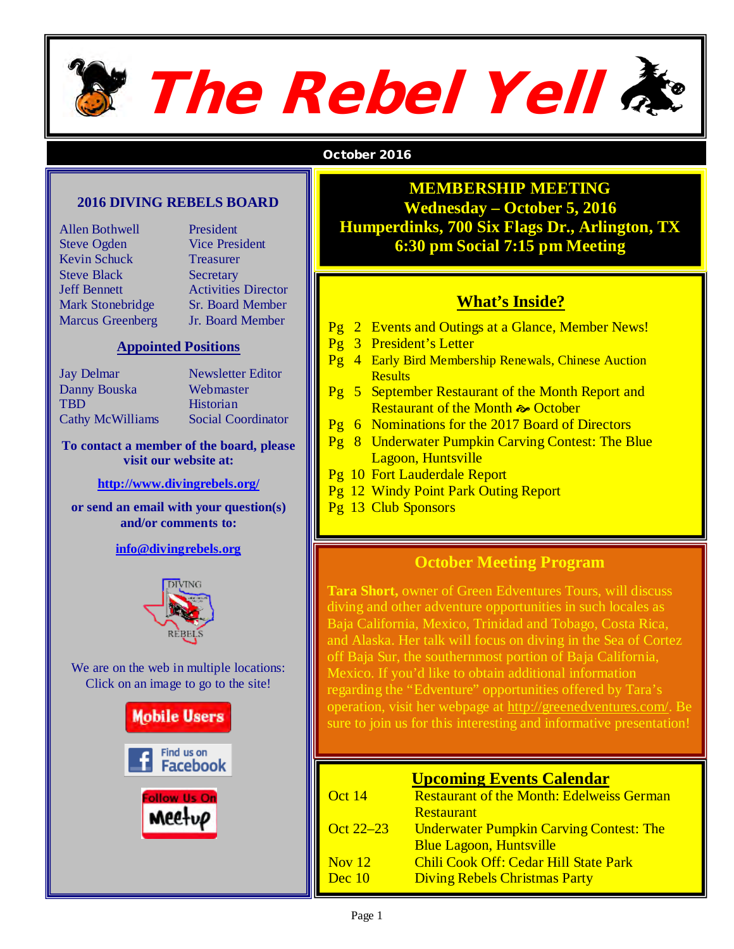

#### October 2016

#### **2016 DIVING REBELS BOARD**

| <b>Allen Bothwell</b>   |
|-------------------------|
| <b>Steve Ogden</b>      |
| Kevin Schuck            |
| <b>Steve Black</b>      |
| <b>Jeff Bennett</b>     |
| <b>Mark Stonebridge</b> |
| <b>Marcus Greenberg</b> |

President Vice President **Treasurer Secretary Activities Director** Sr. Board Member **Jr. Board Member** 

#### **Appointed Positions**

| <b>Jay Delmar</b>       | Newsletter Editor         |
|-------------------------|---------------------------|
| Danny Bouska            | Webmaster                 |
| TBD                     | Historian                 |
| <b>Cathy McWilliams</b> | <b>Social Coordinator</b> |
|                         |                           |

#### **To contact a member of the board, please visit our website at:**

#### **<http://www.divingrebels.org/>**

**or send an email with your question(s) and/or comments to:**

**[info@divingrebels.org](mailto:info@divingrebels.org)** 



We are on the web in multiple locations: Click on an image to go to the site!



#### **MEMBERSHIP MEETING Wednesday – October 5, 2016 Humperdinks, 700 Six Flags Dr., Arlington, TX 6:30 pm Social 7:15 pm Meeting**

#### **What's Inside?**

- Pg 2 Events and Outings at a Glance, Member News!
- Pg 3 President's Letter
- Pg 4 Early Bird Membership Renewals, Chinese Auction **Results**
- Pg 5 September Restaurant of the Month Report and Restaurant of the Month  $\approx$  October
- Pg 6 Nominations for the 2017 Board of Directors
- Pg 8 Underwater Pumpkin Carving Contest: The Blue Lagoon, Huntsville
- Pg 10 Fort Lauderdale Report
- Pg 12 Windy Point Park Outing Report
- Pg 13 Club Sponsors

#### **October Meeting Program**

**Tara Short,** owner of Green Edventures Tours, will discuss diving and other adventure opportunities in such locales as Baja California, Mexico, Trinidad and Tobago, Costa Rica, and Alaska. Her talk will focus on diving in the Sea of Cortez off Baja Sur, the southernmost portion of Baja California, Mexico. If you'd like to obtain additional information regarding the "Edventure" opportunities offered by Tara's operation, visit her webpage at [http://greenedventures.com/.](http://greenedventures.com/) Be sure to join us for this interesting and informative presentation!

| <b>Upcoming Events Calendar</b> |                                                  |
|---------------------------------|--------------------------------------------------|
| Oct 14                          | <b>Restaurant of the Month: Edelweiss German</b> |
|                                 | <b>Restaurant</b>                                |
| Oct 22–23                       | <b>Underwater Pumpkin Carving Contest: The</b>   |
|                                 | <b>Blue Lagoon, Huntsville</b>                   |
| Nov $12$                        | <b>Chili Cook Off: Cedar Hill State Park</b>     |
| Dec 10                          | <b>Diving Rebels Christmas Party</b>             |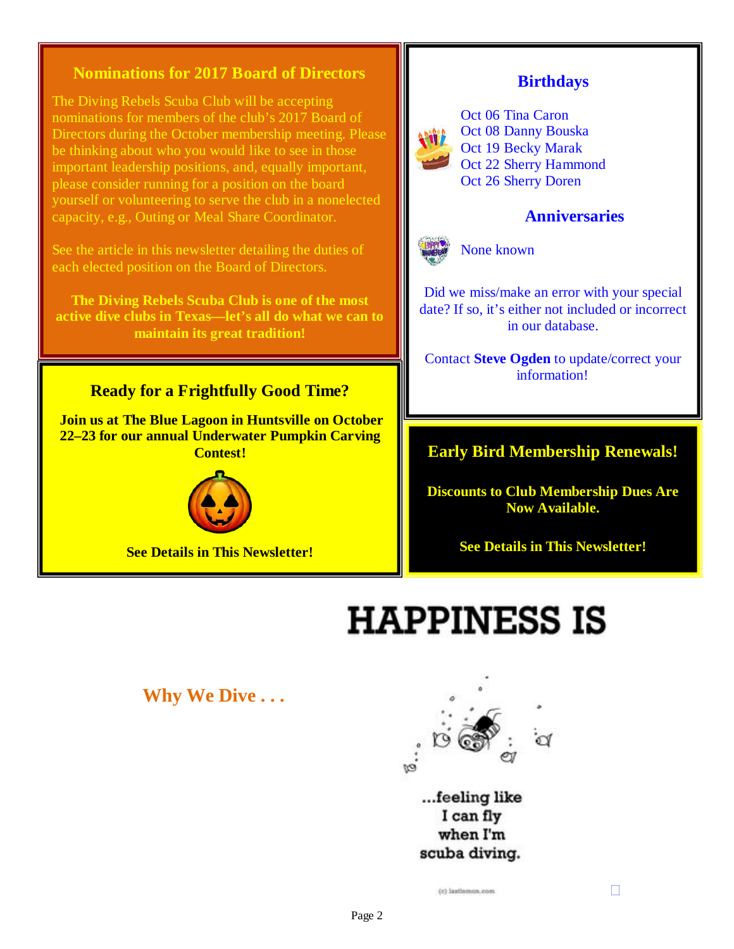#### **Nominations for 2017 Board of Directors**

The Diving Rebels Scuba Club will be accepting nominations for members of the club's 2017 Board of Directors during the October membership meeting. Please be thinking about who you would like to see in those important leadership positions, and, equally important, please consider running for a position on the board yourself or volunteering to serve the club in a nonelected capacity, e.g., Outing or Meal Share Coordinator.

See the article in this newsletter detailing the duties of each elected position on the Board of Directors.

**The Diving Rebels Scuba Club is one of the most active dive clubs in Texas—let's all do what we can to maintain its great tradition!** 

#### **Ready for a Frightfully Good Time?**

 **Join us at The Blue Lagoon in Huntsville on October 22–23 for our annual Underwater Pumpkin Carving Contest!**



**See Details in This Newsletter!**

#### **Birthdays**



Oct 06 Tina Caron Oct 08 Danny Bouska Oct 19 Becky Marak Oct 22 Sherry Hammond Oct 26 Sherry Doren

#### **Anniversaries**



None known

Did we miss/make an error with your special date? If so, it's either not included or incorrect in our database.

Contact **Steve Ogden** to update/correct your information!

#### **Early Bird Membership Renewals!**

**Discounts to Club Membership Dues Are Now Available.** 

**See Details in This Newsletter!** 

# **HAPPINESS IS**

**Why We Dive . . .**



...feeling like I can fly when I'm scuba diving.

(c) Jastlemon.com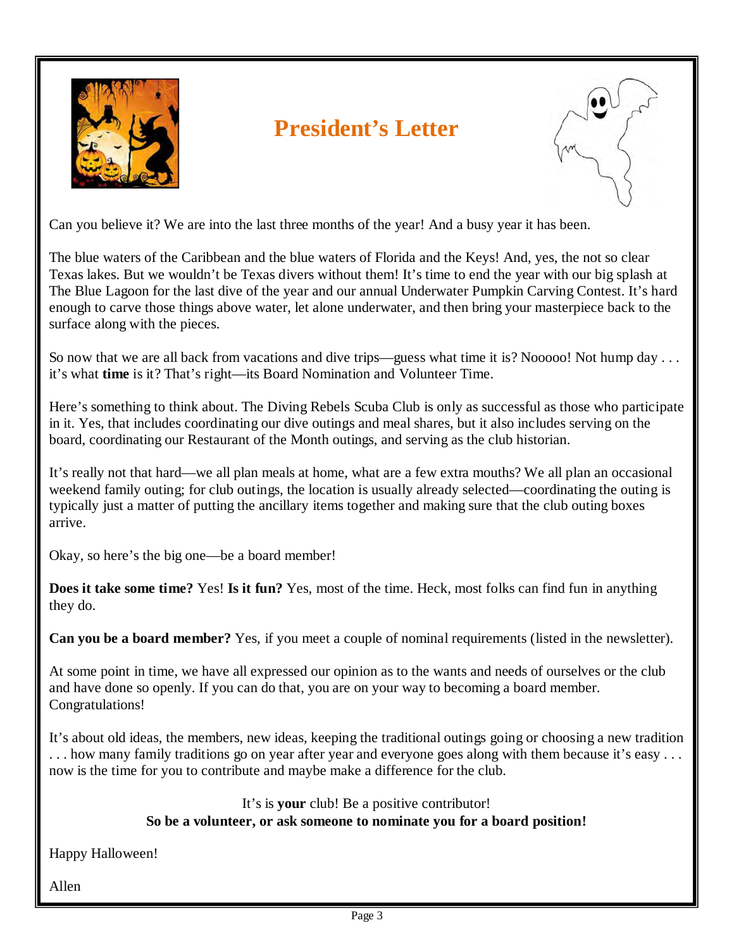

# **President's Letter**



Can you believe it? We are into the last three months of the year! And a busy year it has been.

The blue waters of the Caribbean and the blue waters of Florida and the Keys! And, yes, the not so clear Texas lakes. But we wouldn't be Texas divers without them! It's time to end the year with our big splash at The Blue Lagoon for the last dive of the year and our annual Underwater Pumpkin Carving Contest. It's hard enough to carve those things above water, let alone underwater, and then bring your masterpiece back to the surface along with the pieces.

So now that we are all back from vacations and dive trips—guess what time it is? Nooooo! Not hump day . . . it's what **time** is it? That's right—its Board Nomination and Volunteer Time.

Here's something to think about. The Diving Rebels Scuba Club is only as successful as those who participate in it. Yes, that includes coordinating our dive outings and meal shares, but it also includes serving on the board, coordinating our Restaurant of the Month outings, and serving as the club historian.

It's really not that hard—we all plan meals at home, what are a few extra mouths? We all plan an occasional weekend family outing; for club outings, the location is usually already selected—coordinating the outing is typically just a matter of putting the ancillary items together and making sure that the club outing boxes arrive.

Okay, so here's the big one—be a board member!

**Does it take some time?** Yes! **Is it fun?** Yes, most of the time. Heck, most folks can find fun in anything they do.

**Can you be a board member?** Yes, if you meet a couple of nominal requirements (listed in the newsletter).

At some point in time, we have all expressed our opinion as to the wants and needs of ourselves or the club and have done so openly. If you can do that, you are on your way to becoming a board member. Congratulations!

It's about old ideas, the members, new ideas, keeping the traditional outings going or choosing a new tradition . . . how many family traditions go on year after year and everyone goes along with them because it's easy . . . now is the time for you to contribute and maybe make a difference for the club.

#### It's is **your** club! Be a positive contributor! **So be a volunteer, or ask someone to nominate you for a board position!**

Happy Halloween!

Allen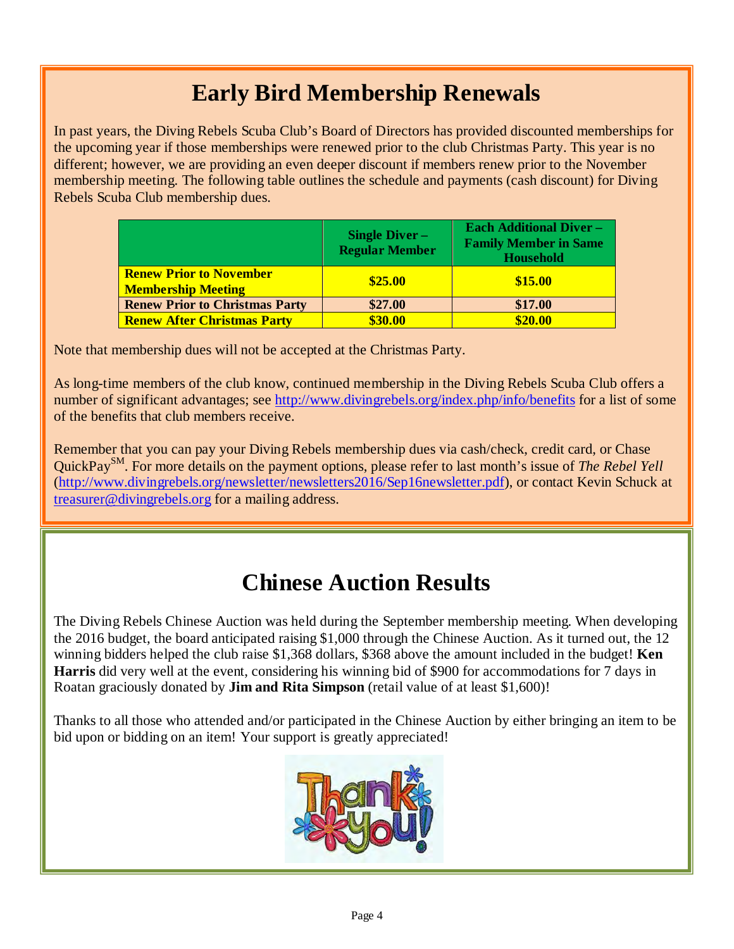# **Early Bird Membership Renewals**

In past years, the Diving Rebels Scuba Club's Board of Directors has provided discounted memberships for the upcoming year if those memberships were renewed prior to the club Christmas Party. This year is no different; however, we are providing an even deeper discount if members renew prior to the November membership meeting. The following table outlines the schedule and payments (cash discount) for Diving Rebels Scuba Club membership dues.

|                                                             | <b>Single Diver -</b><br><b>Regular Member</b> | <b>Each Additional Diver -</b><br><b>Family Member in Same</b><br><b>Household</b> |
|-------------------------------------------------------------|------------------------------------------------|------------------------------------------------------------------------------------|
| <b>Renew Prior to November</b><br><b>Membership Meeting</b> | \$25.00                                        | \$15.00                                                                            |
| <b>Renew Prior to Christmas Party</b>                       | \$27.00<br>\$17.00                             |                                                                                    |
| <b>Renew After Christmas Party</b>                          | \$30.00                                        | \$20.00                                                                            |

Note that membership dues will not be accepted at the Christmas Party.

As long-time members of the club know, continued membership in the Diving Rebels Scuba Club offers a number of significant advantages; see<http://www.divingrebels.org/index.php/info/benefits> for a list of some of the benefits that club members receive.

Remember that you can pay your Diving Rebels membership dues via cash/check, credit card, or Chase QuickPaySM. For more details on the payment options, please refer to last month's issue of *The Rebel Yell* [\(http://www.divingrebels.org/newsletter/newsletters2016/Sep16newsletter.pdf\)](http://www.divingrebels.org/newsletter/newsletters2016/Sep16newsletter.pdf), or contact Kevin Schuck at [treasurer@divingrebels.org](mailto:treasurer@divingrebels.org) for a mailing address.

### **Chinese Auction Results**

The Diving Rebels Chinese Auction was held during the September membership meeting. When developing the 2016 budget, the board anticipated raising \$1,000 through the Chinese Auction. As it turned out, the 12 winning bidders helped the club raise \$1,368 dollars, \$368 above the amount included in the budget! **Ken Harris** did very well at the event, considering his winning bid of \$900 for accommodations for 7 days in Roatan graciously donated by **Jim and Rita Simpson** (retail value of at least \$1,600)!

Thanks to all those who attended and/or participated in the Chinese Auction by either bringing an item to be bid upon or bidding on an item! Your support is greatly appreciated!

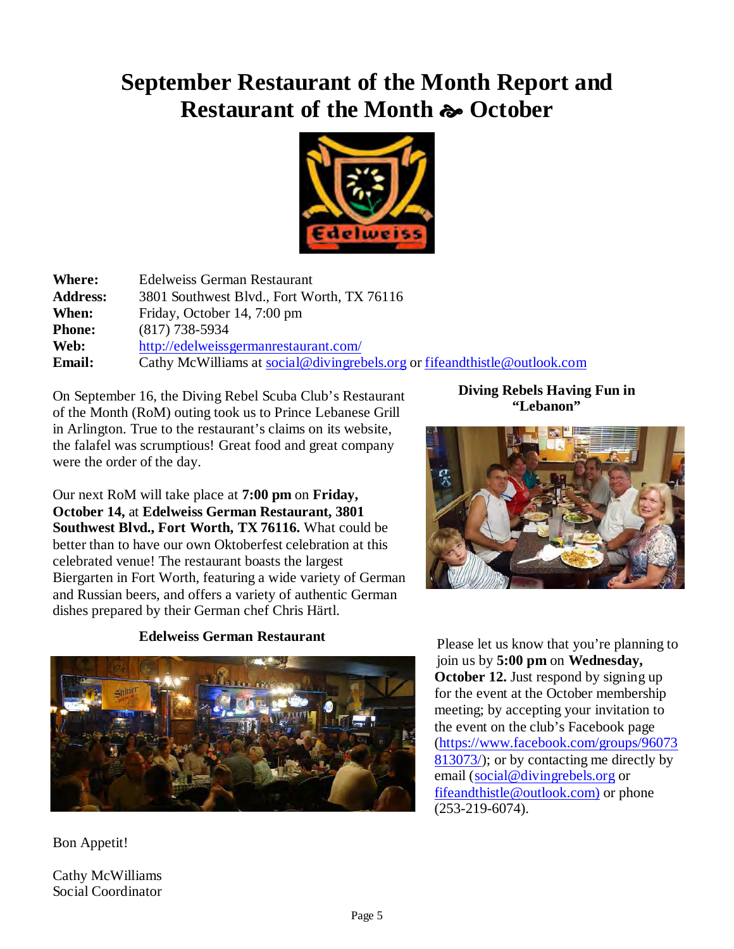## **September Restaurant of the Month Report and** Restaurant of the Month  $\sim$  October



| <b>Where:</b>   | <b>Edelweiss German Restaurant</b>                                           |
|-----------------|------------------------------------------------------------------------------|
| <b>Address:</b> | 3801 Southwest Blvd., Fort Worth, TX 76116                                   |
| When:           | Friday, October 14, 7:00 pm                                                  |
| <b>Phone:</b>   | $(817)$ 738-5934                                                             |
| Web:            | http://edelweissgermanrestaurant.com/                                        |
| <b>Email:</b>   | Cathy McWilliams at social@divingrebels.org or fifeand this the @outlook.com |

On September 16, the Diving Rebel Scuba Club's Restaurant of the Month (RoM) outing took us to Prince Lebanese Grill in Arlington. True to the restaurant's claims on its website, the falafel was scrumptious! Great food and great company were the order of the day.

Our next RoM will take place at **7:00 pm** on **Friday, October 14,** at **Edelweiss German Restaurant, 3801 Southwest Blvd., Fort Worth, TX 76116.** What could be better than to have our own Oktoberfest celebration at this celebrated venue! The restaurant boasts the largest Biergarten in Fort Worth, featuring a wide variety of German and Russian beers, and offers a variety of authentic German dishes prepared by their German chef Chris Härtl.

#### **Edelweiss German Restaurant**



Bon Appetit!

Cathy McWilliams Social Coordinator

**Diving Rebels Having Fun in "Lebanon"**



Please let us know that you're planning to join us by **5:00 pm** on **Wednesday, October 12.** Just respond by signing up for the event at the October membership meeting; by accepting your invitation to the event on the club's Facebook page [\(https://www.facebook.com/groups/96073](https://www.facebook.com/groups/96073813073/) [813073/\)](https://www.facebook.com/groups/96073813073/); or by contacting me directly by email [\(social@divingrebels.org](mailto:social@divingrebels.org) or [fifeandthistle@outlook.com\)](mailto:fifeandthistle@outlook.com) or phone (253-219-6074).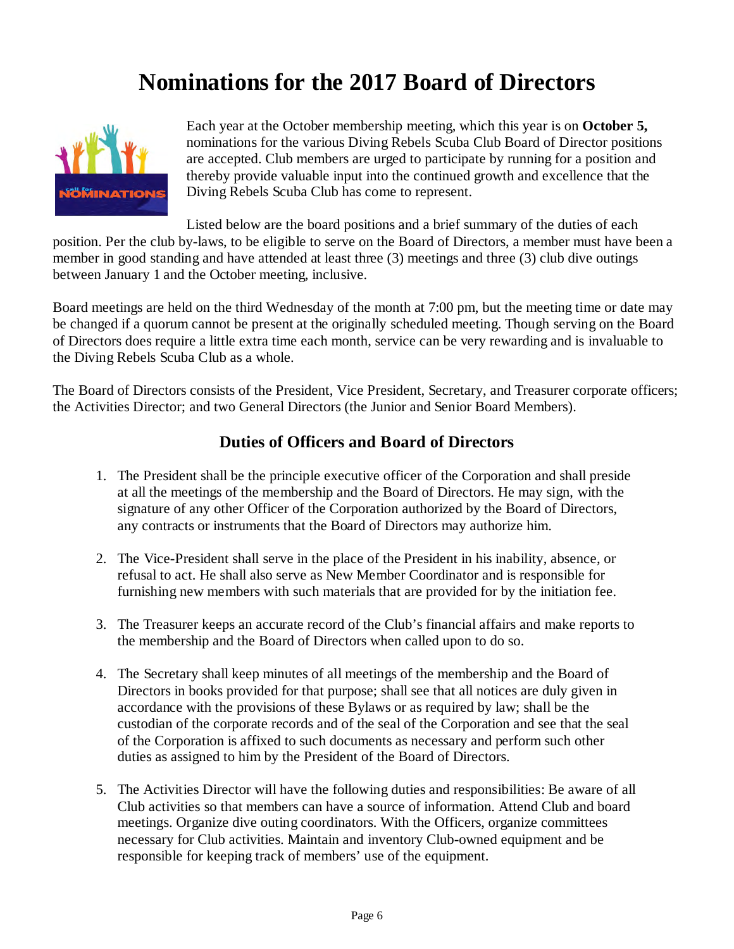# **Nominations for the 2017 Board of Directors**



Each year at the October membership meeting, which this year is on **October 5,** nominations for the various Diving Rebels Scuba Club Board of Director positions are accepted. Club members are urged to participate by running for a position and thereby provide valuable input into the continued growth and excellence that the Diving Rebels Scuba Club has come to represent.

Listed below are the board positions and a brief summary of the duties of each position. Per the club by-laws, to be eligible to serve on the Board of Directors, a member must have been a member in good standing and have attended at least three (3) meetings and three (3) club dive outings between January 1 and the October meeting, inclusive.

Board meetings are held on the third Wednesday of the month at 7:00 pm, but the meeting time or date may be changed if a quorum cannot be present at the originally scheduled meeting. Though serving on the Board of Directors does require a little extra time each month, service can be very rewarding and is invaluable to the Diving Rebels Scuba Club as a whole.

The Board of Directors consists of the President, Vice President, Secretary, and Treasurer corporate officers; the Activities Director; and two General Directors (the Junior and Senior Board Members).

#### **Duties of Officers and Board of Directors**

- 1. The President shall be the principle executive officer of the Corporation and shall preside at all the meetings of the membership and the Board of Directors. He may sign, with the signature of any other Officer of the Corporation authorized by the Board of Directors, any contracts or instruments that the Board of Directors may authorize him.
- 2. The Vice-President shall serve in the place of the President in his inability, absence, or refusal to act. He shall also serve as New Member Coordinator and is responsible for furnishing new members with such materials that are provided for by the initiation fee.
- 3. The Treasurer keeps an accurate record of the Club's financial affairs and make reports to the membership and the Board of Directors when called upon to do so.
- 4. The Secretary shall keep minutes of all meetings of the membership and the Board of Directors in books provided for that purpose; shall see that all notices are duly given in accordance with the provisions of these Bylaws or as required by law; shall be the custodian of the corporate records and of the seal of the Corporation and see that the seal of the Corporation is affixed to such documents as necessary and perform such other duties as assigned to him by the President of the Board of Directors.
- 5. The Activities Director will have the following duties and responsibilities: Be aware of all Club activities so that members can have a source of information. Attend Club and board meetings. Organize dive outing coordinators. With the Officers, organize committees necessary for Club activities. Maintain and inventory Club-owned equipment and be responsible for keeping track of members' use of the equipment.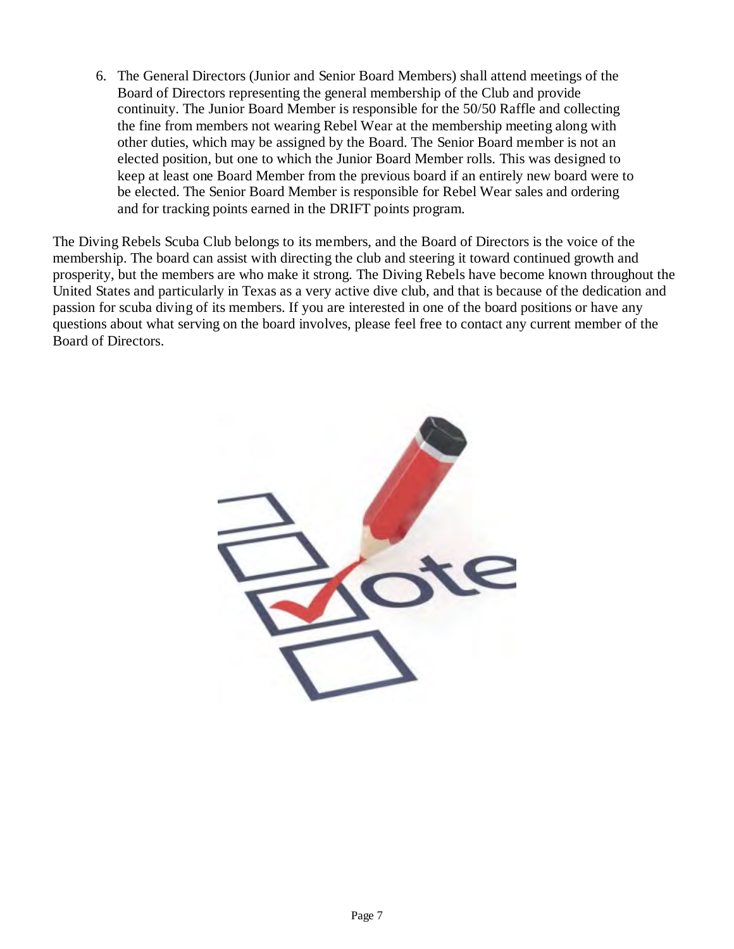6. The General Directors (Junior and Senior Board Members) shall attend meetings of the Board of Directors representing the general membership of the Club and provide continuity. The Junior Board Member is responsible for the 50/50 Raffle and collecting the fine from members not wearing Rebel Wear at the membership meeting along with other duties, which may be assigned by the Board. The Senior Board member is not an elected position, but one to which the Junior Board Member rolls. This was designed to keep at least one Board Member from the previous board if an entirely new board were to be elected. The Senior Board Member is responsible for Rebel Wear sales and ordering and for tracking points earned in the DRIFT points program.

The Diving Rebels Scuba Club belongs to its members, and the Board of Directors is the voice of the membership. The board can assist with directing the club and steering it toward continued growth and prosperity, but the members are who make it strong. The Diving Rebels have become known throughout the United States and particularly in Texas as a very active dive club, and that is because of the dedication and passion for scuba diving of its members. If you are interested in one of the board positions or have any questions about what serving on the board involves, please feel free to contact any current member of the Board of Directors.

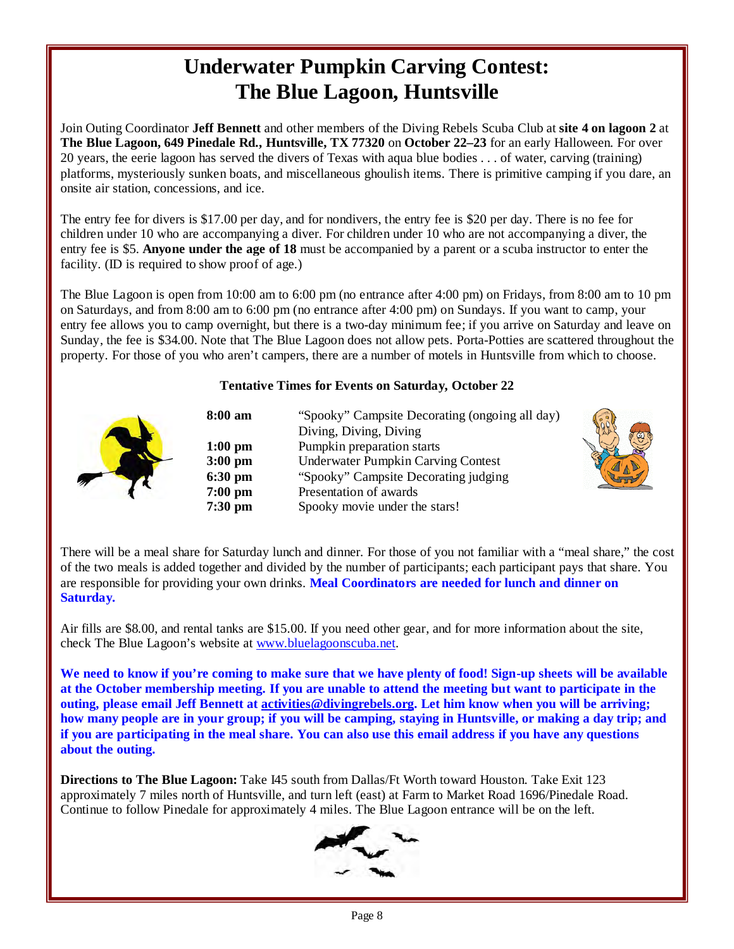### **Underwater Pumpkin Carving Contest: The Blue Lagoon, Huntsville**

Join Outing Coordinator **Jeff Bennett** and other members of the Diving Rebels Scuba Club at **site 4 on lagoon 2** at **The Blue Lagoon, 649 Pinedale Rd., Huntsville, TX 77320** on **October 22–23** for an early Halloween. For over 20 years, the eerie lagoon has served the divers of Texas with aqua blue bodies . . . of water, carving (training) platforms, mysteriously sunken boats, and miscellaneous ghoulish items. There is primitive camping if you dare, an onsite air station, concessions, and ice.

The entry fee for divers is \$17.00 per day, and for nondivers, the entry fee is \$20 per day. There is no fee for children under 10 who are accompanying a diver. For children under 10 who are not accompanying a diver, the entry fee is \$5. **Anyone under the age of 18** must be accompanied by a parent or a scuba instructor to enter the facility. (ID is required to show proof of age.)

The Blue Lagoon is open from 10:00 am to 6:00 pm (no entrance after 4:00 pm) on Fridays, from 8:00 am to 10 pm on Saturdays, and from 8:00 am to 6:00 pm (no entrance after 4:00 pm) on Sundays. If you want to camp, your entry fee allows you to camp overnight, but there is a two-day minimum fee; if you arrive on Saturday and leave on Sunday, the fee is \$34.00. Note that The Blue Lagoon does not allow pets. Porta-Potties are scattered throughout the property. For those of you who aren't campers, there are a number of motels in Huntsville from which to choose.

#### **Tentative Times for Events on Saturday, October 22**

| 8:00 am   | "Spooky" Campsite Decorating (ongoing all day) |
|-----------|------------------------------------------------|
|           | Diving, Diving, Diving                         |
| $1:00$ pm | Pumpkin preparation starts                     |
| $3:00$ pm | <b>Underwater Pumpkin Carving Contest</b>      |
| $6:30$ pm | "Spooky" Campsite Decorating judging           |
| $7:00$ pm | Presentation of awards                         |
| $7:30$ pm | Spooky movie under the stars!                  |



There will be a meal share for Saturday lunch and dinner. For those of you not familiar with a "meal share," the cost of the two meals is added together and divided by the number of participants; each participant pays that share. You are responsible for providing your own drinks. **Meal Coordinators are needed for lunch and dinner on Saturday.**

Air fills are \$8.00, and rental tanks are \$15.00. If you need other gear, and for more information about the site, check The Blue Lagoon's website a[t www.bluelagoonscuba.net.](http://www.bluelagoonscuba.net/)

We need to know if you're coming to make sure that we have plenty of food! Sign-up sheets will be available **at the October membership meeting. If you are unable to attend the meeting but want to participate in the outing, please email Jeff Bennett a[t activities@divingrebels.org.](mailto:activities@divingrebels.org) Let him know when you will be arriving; how many people are in your group; if you will be camping, staying in Huntsville, or making a day trip; and if you are participating in the meal share. You can also use this email address if you have any questions about the outing.**

**Directions to The Blue Lagoon:** Take I45 south from Dallas/Ft Worth toward Houston. Take Exit 123 approximately 7 miles north of Huntsville, and turn left (east) at Farm to Market Road 1696/Pinedale Road. Continue to follow Pinedale for approximately 4 miles. The Blue Lagoon entrance will be on the left.

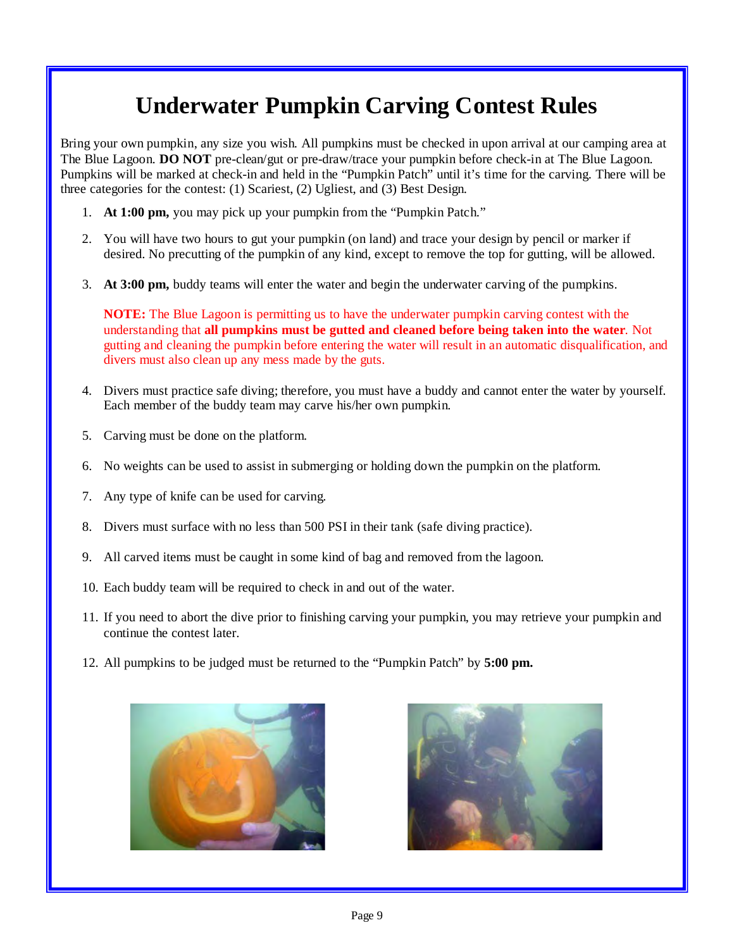# **Underwater Pumpkin Carving Contest Rules**

Bring your own pumpkin, any size you wish. All pumpkins must be checked in upon arrival at our camping area at The Blue Lagoon. **DO NOT** pre-clean/gut or pre-draw/trace your pumpkin before check-in at The Blue Lagoon. Pumpkins will be marked at check-in and held in the "Pumpkin Patch" until it's time for the carving. There will be three categories for the contest: (1) Scariest, (2) Ugliest, and (3) Best Design.

- 1. **At 1:00 pm,** you may pick up your pumpkin from the "Pumpkin Patch."
- 2. You will have two hours to gut your pumpkin (on land) and trace your design by pencil or marker if desired. No precutting of the pumpkin of any kind, except to remove the top for gutting, will be allowed.
- 3. **At 3:00 pm,** buddy teams will enter the water and begin the underwater carving of the pumpkins.

**NOTE:** The Blue Lagoon is permitting us to have the underwater pumpkin carving contest with the understanding that **all pumpkins must be gutted and cleaned before being taken into the water**. Not gutting and cleaning the pumpkin before entering the water will result in an automatic disqualification, and divers must also clean up any mess made by the guts.

- 4. Divers must practice safe diving; therefore, you must have a buddy and cannot enter the water by yourself. Each member of the buddy team may carve his/her own pumpkin.
- 5. Carving must be done on the platform.
- 6. No weights can be used to assist in submerging or holding down the pumpkin on the platform.
- 7. Any type of knife can be used for carving.
- 8. Divers must surface with no less than 500 PSI in their tank (safe diving practice).
- 9. All carved items must be caught in some kind of bag and removed from the lagoon.
- 10. Each buddy team will be required to check in and out of the water.
- 11. If you need to abort the dive prior to finishing carving your pumpkin, you may retrieve your pumpkin and continue the contest later.
- 12. All pumpkins to be judged must be returned to the "Pumpkin Patch" by **5:00 pm.**



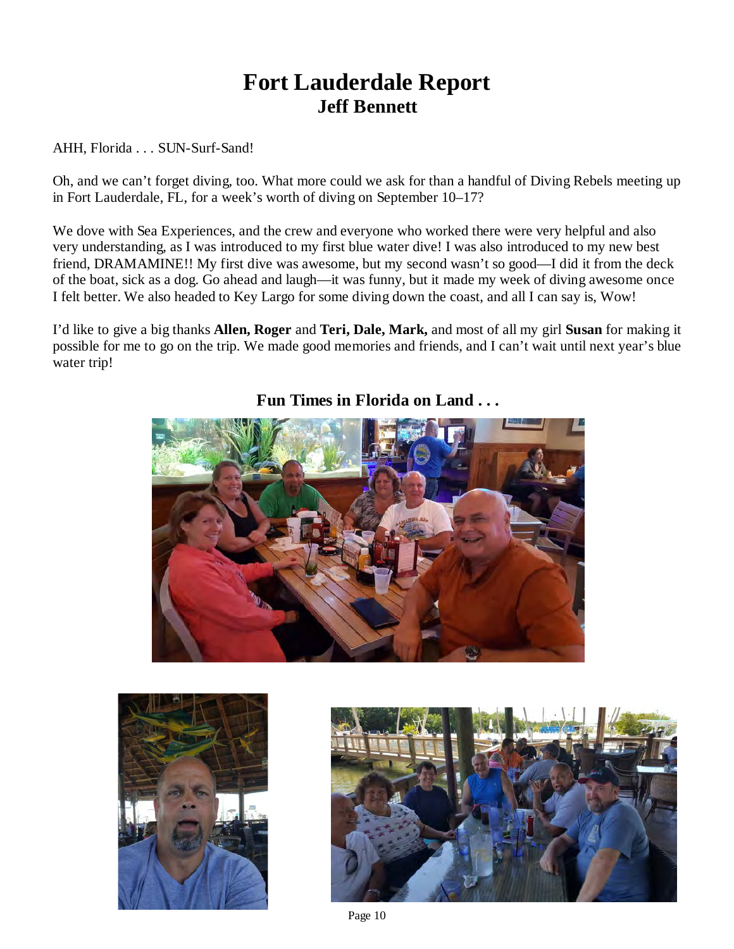### **Fort Lauderdale Report Jeff Bennett**

AHH, Florida . . . SUN-Surf-Sand!

Oh, and we can't forget diving, too. What more could we ask for than a handful of Diving Rebels meeting up in Fort Lauderdale, FL, for a week's worth of diving on September 10–17?

We dove with Sea Experiences, and the crew and everyone who worked there were very helpful and also very understanding, as I was introduced to my first blue water dive! I was also introduced to my new best friend, DRAMAMINE!! My first dive was awesome, but my second wasn't so good—I did it from the deck of the boat, sick as a dog. Go ahead and laugh—it was funny, but it made my week of diving awesome once I felt better. We also headed to Key Largo for some diving down the coast, and all I can say is, Wow!

I'd like to give a big thanks **Allen, Roger** and **Teri, Dale, Mark,** and most of all my girl **Susan** for making it possible for me to go on the trip. We made good memories and friends, and I can't wait until next year's blue water trip!



**Fun Times in Florida on Land . . .**



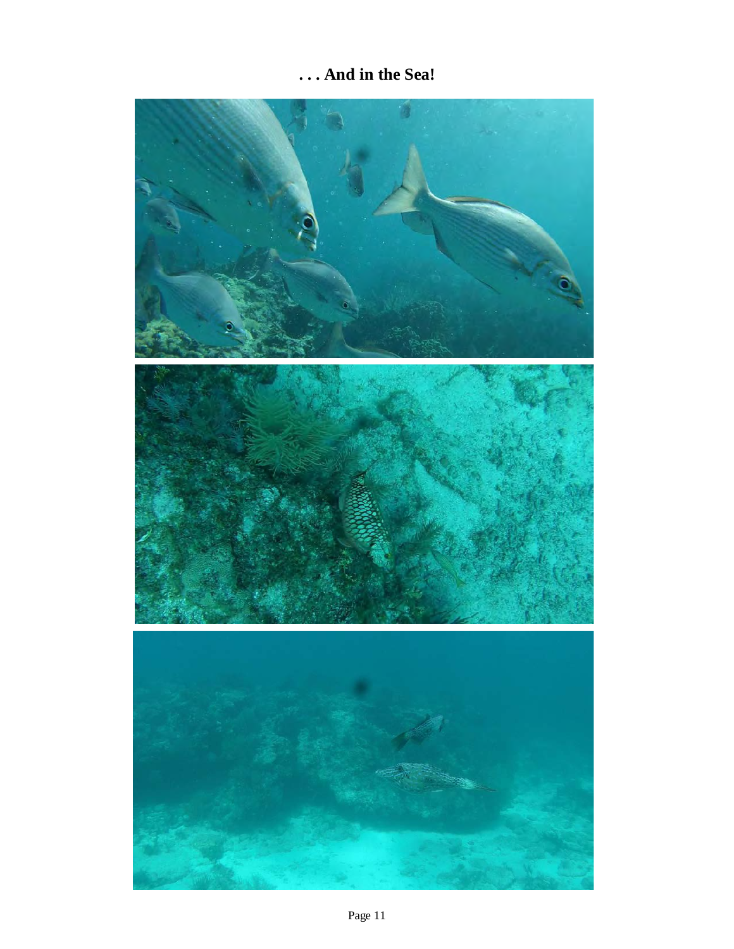### **. . . And in the Sea!**

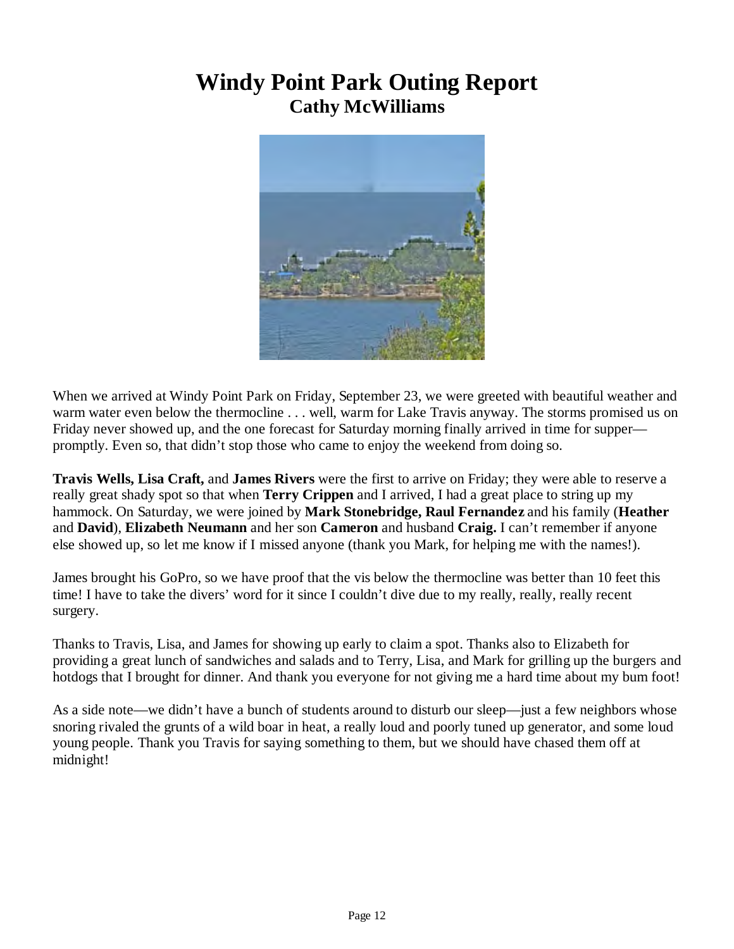### **Windy Point Park Outing Report Cathy McWilliams**



When we arrived at Windy Point Park on Friday, September 23, we were greeted with beautiful weather and warm water even below the thermocline . . . well, warm for Lake Travis anyway. The storms promised us on Friday never showed up, and the one forecast for Saturday morning finally arrived in time for supper promptly. Even so, that didn't stop those who came to enjoy the weekend from doing so.

**Travis Wells, Lisa Craft,** and **James Rivers** were the first to arrive on Friday; they were able to reserve a really great shady spot so that when **Terry Crippen** and I arrived, I had a great place to string up my hammock. On Saturday, we were joined by **Mark Stonebridge, Raul Fernandez** and his family (**Heather**  and **David**), **Elizabeth Neumann** and her son **Cameron** and husband **Craig.** I can't remember if anyone else showed up, so let me know if I missed anyone (thank you Mark, for helping me with the names!).

James brought his GoPro, so we have proof that the vis below the thermocline was better than 10 feet this time! I have to take the divers' word for it since I couldn't dive due to my really, really, really recent surgery.

Thanks to Travis, Lisa, and James for showing up early to claim a spot. Thanks also to Elizabeth for providing a great lunch of sandwiches and salads and to Terry, Lisa, and Mark for grilling up the burgers and hotdogs that I brought for dinner. And thank you everyone for not giving me a hard time about my bum foot!

As a side note—we didn't have a bunch of students around to disturb our sleep—just a few neighbors whose snoring rivaled the grunts of a wild boar in heat, a really loud and poorly tuned up generator, and some loud young people. Thank you Travis for saying something to them, but we should have chased them off at midnight!